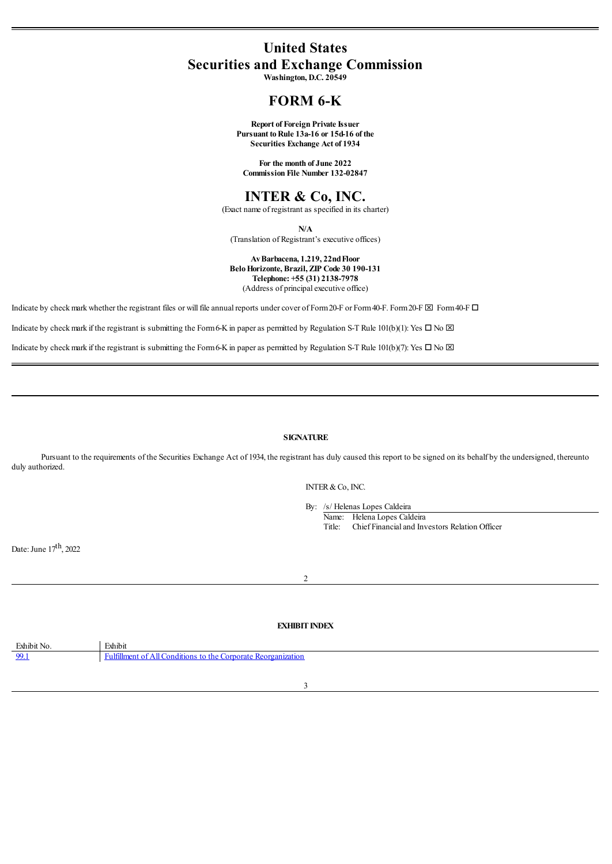## **United States Securities and Exchange Commission**

**Washington, D.C. 20549**

## **FORM 6-K**

**Report of Foreign Private Issuer Pursuant toRule 13a-16 or 15d-16 of the Securities Exchange Act of 1934**

**For the month of June 2022 Commission File Number 132-02847**

### **INTER & Co, INC.**

(Exact name of registrant as specified in its charter)

**N/A**

(Translation of Registrant's executive offices)

**AvBarbacena, 1.219, 22ndFloor BeloHorizonte, Brazil, ZIP Code 30 190-131 Telephone: +55 (31) 2138-7978** (Address of principal executive office)

Indicate by check mark whether the registrant files or will file annual reports under cover of Form 20-F or Form 40-F. Form 20-F  $\boxtimes$  Form40-F  $\Box$ 

Indicate by check mark if the registrant is submitting the Form 6-K in paper as permitted by Regulation S-T Rule 101(b)(1): Yes  $\Box$  No  $\boxtimes$ 

Indicate by check mark if the registrant is submitting the Form6-K in paper as permitted by Regulation S-T Rule 101(b)(7): Yes  $\Box$  No  $\boxtimes$ 

#### **SIGNATURE**

Pursuant to the requirements of the Securities Exchange Act of 1934, the registrant has duly caused this report to be signed on its behalf by the undersigned, thereunto duly authorized.

INTER&Co, INC.

By: /s/ Helenas Lopes Caldeira

Name: Helena Lopes Caldeira Title: Chief Financialand Investors Relation Officer

Date: June 17<sup>th</sup>, 2022

#### **EXHIBIT INDEX**

2

<span id="page-0-0"></span>

| Exhibit No. | Exhibit                                                                                 |
|-------------|-----------------------------------------------------------------------------------------|
| 99.1        | Corporate<br>- Fultiliment of $\epsilon$<br>All Conditions to the C<br>e Reorganization |
|             |                                                                                         |

3